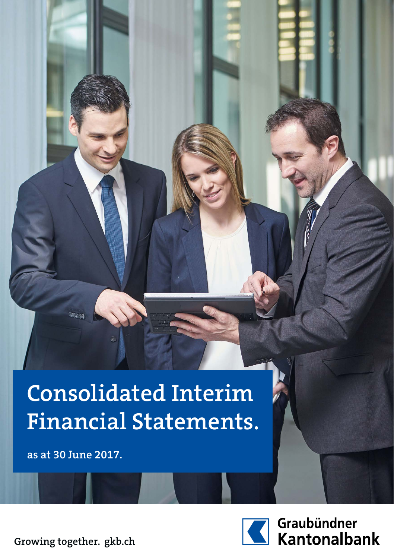# **Consolidated Interim Financial Statements.**

**as at 30 June 2017.**



Graubündner<br>Kantonalbank

**Growing together. gkb.ch**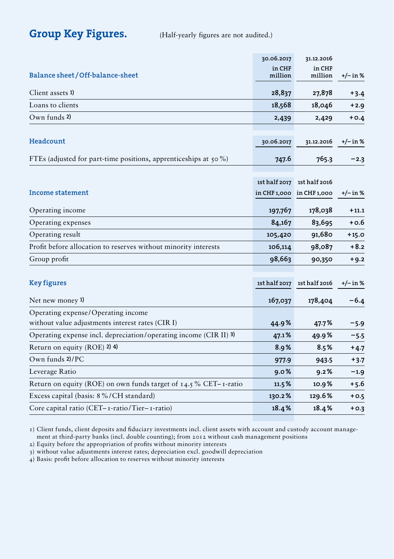Group Key Figures. (Half-yearly figures are not audited.)

|                                                                                        | 30.06.2017        | 31.12.2016                                 |            |
|----------------------------------------------------------------------------------------|-------------------|--------------------------------------------|------------|
| Balance sheet/Off-balance-sheet                                                        | in CHF<br>million | in CHF<br>million                          | $+/-$ in % |
| Client assets 1)                                                                       | 28,837            | 27,878                                     | $+3.4$     |
| Loans to clients                                                                       | 18,568            | 18,046                                     | $+2.9$     |
| Own funds 2)                                                                           | 2,439             | 2,429                                      | $+0.4$     |
| Headcount                                                                              | 30.06.2017        | 31.12.2016                                 | $+/-$ in % |
| FTEs (adjusted for part-time positions, apprenticeships at $50\%$ )                    | 747.6             | 765.3                                      | $-2.3$     |
| Income statement                                                                       | 1st half 2017     | 1st half 2016<br>in CHF 1,000 in CHF 1,000 | $+/- in %$ |
| Operating income                                                                       | 197,767           | 178,038                                    | $+11.1$    |
| Operating expenses                                                                     | 84,167            | 83,695                                     | $+0.6$     |
| Operating result                                                                       | 105,420           | 91,680                                     | $+15.0$    |
| Profit before allocation to reserves without minority interests                        | 106,114           | 98,087                                     | $+8.2$     |
| Group profit                                                                           | 98,663            | 90,350                                     | $+9.2$     |
| <b>Key figures</b>                                                                     |                   | 1st half 2017 1st half 2016                | $+/- in %$ |
| Net new money 1)                                                                       | 167,037           | 178,404                                    | $-6.4$     |
| Operating expense/Operating income<br>without value adjustments interest rates (CIR I) | 44.9%             | 47.7%                                      | $-5.9$     |
| Operating expense incl. depreciation/operating income (CIR II) 3)                      | 47.1%             | 49.9%                                      | $-5.5$     |
| Return on equity (ROE) 2) 4)                                                           | 8.9%              | 8.5%                                       | $+4.7$     |
| Own funds $2$ /PC                                                                      | 977.9             | 943.5                                      | $+3.7$     |
| Leverage Ratio                                                                         | 9.0%              | 9.2%                                       | $-1.9$     |
| Return on equity (ROE) on own funds target of $14.5\%$ CET-1-ratio                     | 11.5%             | 10.9%                                      | $+5.6$     |
| Excess capital (basis: 8%/CH standard)                                                 | 130.2%            | 129.6%                                     | $+0.5$     |
| Core capital ratio (CET-1-ratio/Tier-1-ratio)                                          | 18.4%             | 18.4%                                      | $+0.3$     |
|                                                                                        |                   |                                            |            |

1) Client funds, client deposits and fiduciary investments incl. client assets with account and custody account management at third-party banks (incl. double counting); from 2012 without cash management positions

2) Equity before the appropriation of profits without minority interests

3) without value adjustments interest rates; depreciation excl. goodwill depreciation

4) Basis: profit before allocation to reserves without minority interests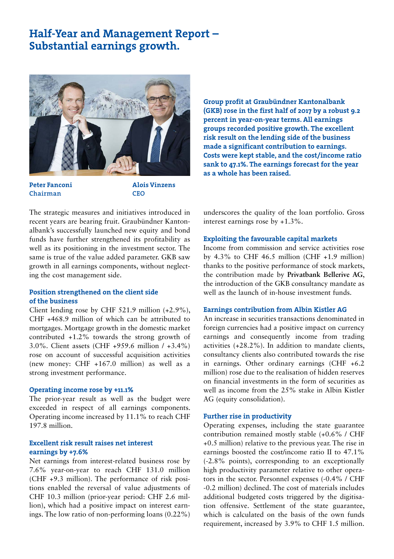## Half-Year and Management Report – Substantial earnings growth.



Peter Fanconi Chairman

Alois Vinzens **CEO** 

Group profit at Graubündner Kantonalbank (GKB) rose in the first half of 2017 by a robust 9.2 percent in year-on-year terms. All earnings groups recorded positive growth. The excellent risk result on the lending side of the business made a significant contribution to earnings. Costs were kept stable, and the cost/income ratio sank to 47.1%. The earnings forecast for the year as a whole has been raised.

The strategic measures and initiatives introduced in recent years are bearing fruit. Graubündner Kantonalbank's successfully launched new equity and bond funds have further strengthened its profitability as well as its positioning in the investment sector. The same is true of the value added parameter. GKB saw growth in all earnings components, without neglecting the cost management side.

#### Position strengthened on the client side of the business

Client lending rose by CHF 521.9 million (+2.9%), CHF +468.9 million of which can be attributed to mortgages. Mortgage growth in the domestic market contributed +1.2% towards the strong growth of 3.0%. Client assets (CHF +959.6 million / +3.4%) rose on account of successful acquisition activities (new money: CHF +167.0 million) as well as a strong investment performance.

#### Operating income rose by +11.1%

The prior-year result as well as the budget were exceeded in respect of all earnings components. Operating income increased by 11.1% to reach CHF 197.8 million.

#### Excellent risk result raises net interest earnings by +7.6%

Net earnings from interest-related business rose by 7.6% year-on-year to reach CHF 131.0 million (CHF +9.3 million). The performance of risk positions enabled the reversal of value adjustments of CHF 10.3 million (prior-year period: CHF 2.6 million), which had a positive impact on interest earnings. The low ratio of non-performing loans (0.22%) underscores the quality of the loan portfolio. Gross interest earnings rose by +1.3%.

#### Exploiting the favourable capital markets

Income from commission and service activities rose by  $4.3\%$  to CHF  $46.5$  million (CHF  $+1.9$  million) thanks to the positive performance of stock markets, the contribution made by **Privatbank Bellerive AG**, the introduction of the GKB consultancy mandate as well as the launch of in-house investment funds.

#### Earnings contribution from Albin Kistler AG

An increase in securities transactions denominated in foreign currencies had a positive impact on currency earnings and consequently income from trading activities (+28.2%). In addition to mandate clients, consultancy clients also contributed towards the rise in earnings. Other ordinary earnings (CHF +6.2 million) rose due to the realisation of hidden reserves on financial investments in the form of securities as well as income from the 25% stake in Albin Kistler AG (equity consolidation).

#### Further rise in productivity

Operating expenses, including the state guarantee contribution remained mostly stable (+0.6% / CHF +0.5 million) relative to the previous year. The rise in earnings boosted the cost/income ratio II to 47.1% (-2.8% points), corresponding to an exceptionally high productivity parameter relative to other operators in the sector. Personnel expenses (-0.4% / CHF -0.2 million) declined. The cost of materials includes additional budgeted costs triggered by the digitisation offensive. Settlement of the state guarantee, which is calculated on the basis of the own funds requirement, increased by 3.9% to CHF 1.5 million.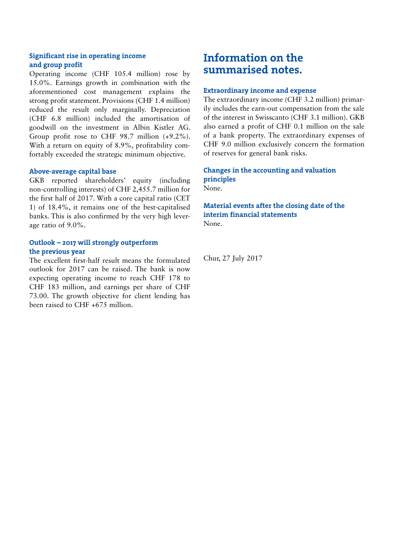#### Significant rise in operating income and group profit

Operating income (CHF 105.4 million) rose by 15.0%. Earnings growth in combination with the aforementioned cost management explains the strong profit statement. Provisions (CHF 1.4 million) reduced the result only marginally. Depreciation (CHF 6.8 million) included the amortisation of goodwill on the investment in Albin Kistler AG. Group profit rose to CHF 98.7 million (+9.2%). With a return on equity of 8.9%, profitability comfortably exceeded the strategic minimum objective.

#### Above-average capital base

GKB reported shareholders' equity (including non-controlling interests) of CHF 2,455.7 million for the first half of 2017. With a core capital ratio (CET 1) of 18.4%, it remains one of the best-capitalised banks. This is also confirmed by the very high leverage ratio of 9.0%.

#### Outlook – 2017 will strongly outperform the previous year

The excellent first-half result means the formulated outlook for 2017 can be raised. The bank is now expecting operating income to reach CHF 178 to CHF 183 million, and earnings per share of CHF 73.00. The growth objective for client lending has been raised to CHF +675 million.

## Information on the summarised notes.

#### Extraordinary income and expense

The extraordinary income (CHF 3.2 million) primarily includes the earn-out compensation from the sale of the interest in Swisscanto (CHF 3.1 million). GKB also earned a profit of CHF 0.1 million on the sale of a bank property. The extraordinary expenses of CHF 9.0 million exclusively concern the formation of reserves for general bank risks.

### Changes in the accounting and valuation principles

None.

#### Material events after the closing date of the interim financial statements None.

Chur, 27 July 2017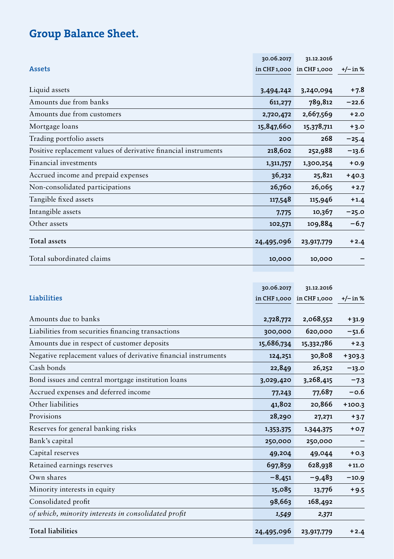## Group Balance Sheet.

|                                                                 | 30.06.2017 | 31.12.2016                |            |
|-----------------------------------------------------------------|------------|---------------------------|------------|
| <b>Assets</b>                                                   |            | in CHF 1,000 in CHF 1,000 | $+/-$ in % |
|                                                                 |            |                           |            |
| Liquid assets                                                   | 3,494,242  | 3,240,094                 | $+7.8$     |
| Amounts due from banks                                          | 611,277    | 789,812                   | $-22.6$    |
| Amounts due from customers                                      | 2,720,472  | 2,667,569                 | $+2.0$     |
| Mortgage loans                                                  | 15,847,660 | 15,378,711                | $+3.0$     |
| Trading portfolio assets                                        | 200        | 268                       | $-25.4$    |
| Positive replacement values of derivative financial instruments | 218,602    | 252,988                   | $-13.6$    |
| Financial investments                                           | 1,311,757  | 1,300,254                 | $+0.9$     |
| Accrued income and prepaid expenses                             | 36,232     | 25,821                    | $+40.3$    |
| Non-consolidated participations                                 | 26,760     | 26,065                    | $+2.7$     |
| Tangible fixed assets                                           | 117,548    | 115,946                   | $+1.4$     |
| Intangible assets                                               | 7,775      | 10,367                    | $-25.0$    |
| Other assets                                                    | 102,571    | 109,884                   | $-6.7$     |
| <b>Total assets</b>                                             | 24,495,096 | 23,917,779                | $+2.4$     |
| Total subordinated claims                                       | 10,000     | 10,000                    |            |

|                                                                 | 30.06.2017 | 31.12.2016                |          |
|-----------------------------------------------------------------|------------|---------------------------|----------|
| Liabilities                                                     |            | in CHF 1,000 in CHF 1,000 | +/– in % |
| Amounts due to banks                                            | 2,728,772  | 2,068,552                 | $+31.9$  |
| Liabilities from securities financing transactions              | 300,000    | 620,000                   | $-51.6$  |
| Amounts due in respect of customer deposits                     | 15,686,734 | 15,332,786                | $+2.3$   |
| Negative replacement values of derivative financial instruments | 124,251    | 30,808                    | $+303.3$ |
| Cash bonds                                                      | 22,849     | 26,252                    | $-13.0$  |
| Bond issues and central mortgage institution loans              | 3,029,420  | 3,268,415                 | $-7.3$   |
| Accrued expenses and deferred income                            | 77,243     | 77,687                    | $-0.6$   |
| Other liabilities                                               | 41,802     | 20,866                    | $+100.3$ |
| Provisions                                                      | 28,290     | 27,271                    | $+3.7$   |
| Reserves for general banking risks                              | 1,353,375  | 1,344,375                 | $+0.7$   |
| Bank's capital                                                  | 250,000    | 250,000                   |          |
| Capital reserves                                                | 49,204     | 49,044                    | $+0.3$   |
| Retained earnings reserves                                      | 697,859    | 628,938                   | $+11.0$  |
| Own shares                                                      | $-8,451$   | $-9,483$                  | $-10.9$  |
| Minority interests in equity                                    | 15,085     | 13,776                    | $+9.5$   |
| Consolidated profit                                             | 98,663     | 168,492                   |          |
| of which, minority interests in consolidated profit             | 1,549      | 2,371                     |          |
| <b>Total liabilities</b>                                        | 24,495,096 | 23,917,779                | $+2.4$   |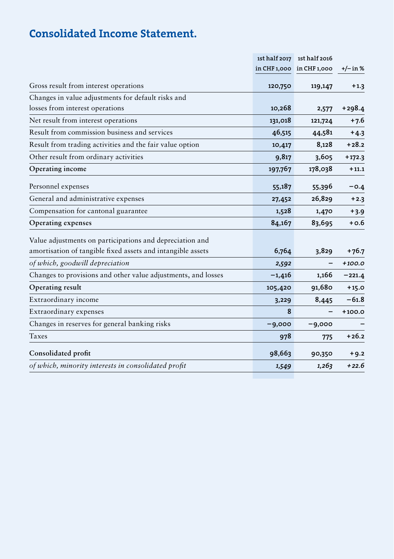## Consolidated Income Statement.

|                                                                                                                         |          | 1st half 2017 1st half 2016 |          |
|-------------------------------------------------------------------------------------------------------------------------|----------|-----------------------------|----------|
|                                                                                                                         |          | in CHF 1,000 in CHF 1,000   | +/– in % |
| Gross result from interest operations                                                                                   | 120,750  | 119,147                     | $+1.3$   |
| Changes in value adjustments for default risks and                                                                      |          |                             |          |
| losses from interest operations                                                                                         | 10,268   | 2,577                       | +298.4   |
| Net result from interest operations                                                                                     | 131,018  | 121,724                     | $+7.6$   |
| Result from commission business and services                                                                            | 46,515   | 44,581                      | $+4.3$   |
| Result from trading activities and the fair value option                                                                | 10,417   | 8,128                       | $+28.2$  |
| Other result from ordinary activities                                                                                   | 9,817    | 3,605                       | $+172.3$ |
| Operating income                                                                                                        | 197,767  | 178,038                     | $+11.1$  |
| Personnel expenses                                                                                                      | 55,187   | 55,396                      | $-0.4$   |
| General and administrative expenses                                                                                     | 27,452   | 26,829                      | $+2.3$   |
| Compensation for cantonal guarantee                                                                                     | 1,528    | 1,470                       | $+3.9$   |
| Operating expenses                                                                                                      | 84,167   | 83,695                      | $+0.6$   |
| Value adjustments on participations and depreciation and<br>amortisation of tangible fixed assets and intangible assets | 6,764    | 3,829                       | $+76.7$  |
| of which, goodwill depreciation                                                                                         | 2,592    |                             | $+100.0$ |
| Changes to provisions and other value adjustments, and losses                                                           | $-1,416$ | 1,166                       | $-221.4$ |
| Operating result                                                                                                        | 105,420  | 91,680                      | $+15.0$  |
| Extraordinary income                                                                                                    | 3,229    | 8,445                       | $-61.8$  |
| Extraordinary expenses                                                                                                  | 8        |                             | $+100.0$ |
| Changes in reserves for general banking risks                                                                           | $-9,000$ | $-9,000$                    |          |
| Taxes                                                                                                                   | 978      | 775                         | $+26.2$  |
| Consolidated profit                                                                                                     | 98,663   | 90,350                      | $+9.2$   |
| of which, minority interests in consolidated profit                                                                     | 1,549    | 1,263                       | $+22.6$  |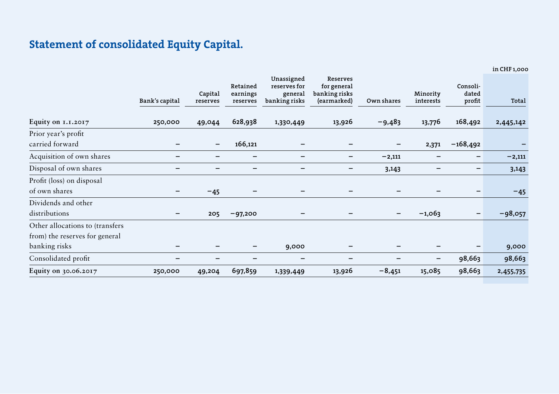## Statement of consolidated Equity Capital.

in CHF 1,000

|                                 | Bank's capital | Capital<br>reserves          | Retained<br>earnings<br>reserves | Unassigned<br>reserves for<br>general<br>banking risks | <b>Reserves</b><br>for general<br>banking risks<br>(earmarked) | Own shares                   | Minority<br>interests | Consoli-<br>dated<br>profit | Total     |
|---------------------------------|----------------|------------------------------|----------------------------------|--------------------------------------------------------|----------------------------------------------------------------|------------------------------|-----------------------|-----------------------------|-----------|
| Equity on 1.1.2017              | 250,000        | 49,044                       | 628,938                          | 1,330,449                                              | 13,926                                                         | $-9,483$                     | 13,776                | 168,492                     | 2,445,142 |
| Prior year's profit             |                |                              |                                  |                                                        |                                                                |                              |                       |                             |           |
| carried forward                 |                | $\qquad \qquad \blacksquare$ | 166,121                          |                                                        |                                                                |                              | 2,371                 | $-168,492$                  |           |
| Acquisition of own shares       | -              | $\overline{\phantom{0}}$     | -                                | -                                                      | $\qquad \qquad \blacksquare$                                   | $-2,111$                     |                       | -                           | $-2,111$  |
| Disposal of own shares          |                |                              |                                  |                                                        |                                                                | 3,143                        |                       |                             | 3,143     |
| Profit (loss) on disposal       |                |                              |                                  |                                                        |                                                                |                              |                       |                             |           |
| of own shares                   |                | $-45$                        |                                  |                                                        |                                                                |                              |                       |                             | $-45$     |
| Dividends and other             |                |                              |                                  |                                                        |                                                                |                              |                       |                             |           |
| distributions                   |                | 205                          | $-97,200$                        |                                                        |                                                                | $\qquad \qquad \blacksquare$ | $-1,063$              |                             | $-98,057$ |
| Other allocations to (transfers |                |                              |                                  |                                                        |                                                                |                              |                       |                             |           |
| from) the reserves for general  |                |                              |                                  |                                                        |                                                                |                              |                       |                             |           |
| banking risks                   |                |                              |                                  | 9,000                                                  |                                                                |                              |                       |                             | 9,000     |
| Consolidated profit             |                |                              |                                  | -                                                      |                                                                |                              | -                     | 98,663                      | 98,663    |
| Equity on 30.06.2017            | 250,000        | 49,204                       | 697,859                          | 1,339,449                                              | 13,926                                                         | $-8,451$                     | 15,085                | 98,663                      | 2,455,735 |
|                                 |                |                              |                                  |                                                        |                                                                |                              |                       |                             |           |